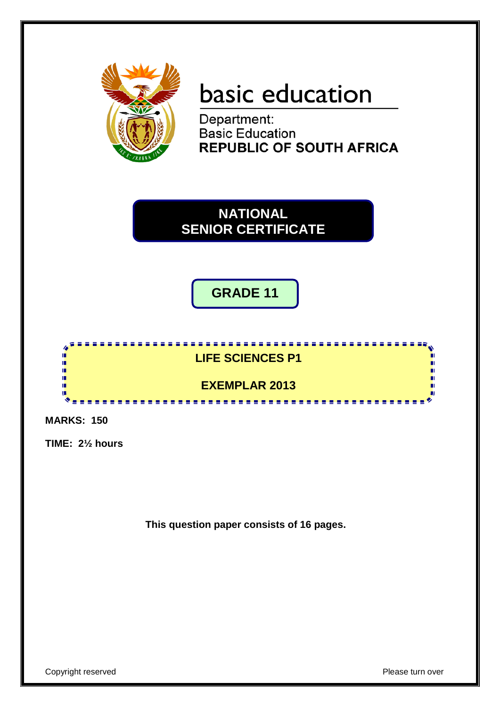

# basic education

Department: **Basic Education REPUBLIC OF SOUTH AFRICA** 

**NATIONAL SENIOR CERTIFICATE**

**GRADE 11**



**MARKS: 150**

**TIME: 2½ hours**

**This question paper consists of 16 pages.**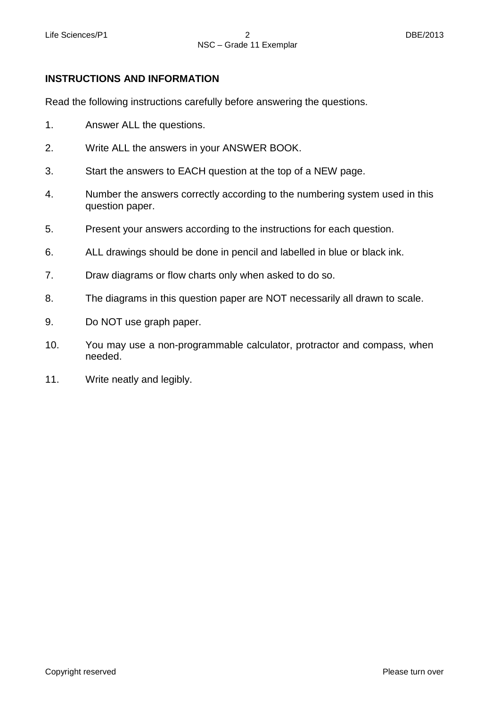## **INSTRUCTIONS AND INFORMATION**

Read the following instructions carefully before answering the questions.

- 1. Answer ALL the questions.
- 2. Write ALL the answers in your ANSWER BOOK.
- 3. Start the answers to EACH question at the top of a NEW page.
- 4. Number the answers correctly according to the numbering system used in this question paper.
- 5. Present your answers according to the instructions for each question.
- 6. ALL drawings should be done in pencil and labelled in blue or black ink.
- 7. Draw diagrams or flow charts only when asked to do so.
- 8. The diagrams in this question paper are NOT necessarily all drawn to scale.
- 9. Do NOT use graph paper.
- 10. You may use a non-programmable calculator, protractor and compass, when needed.
- 11. Write neatly and legibly.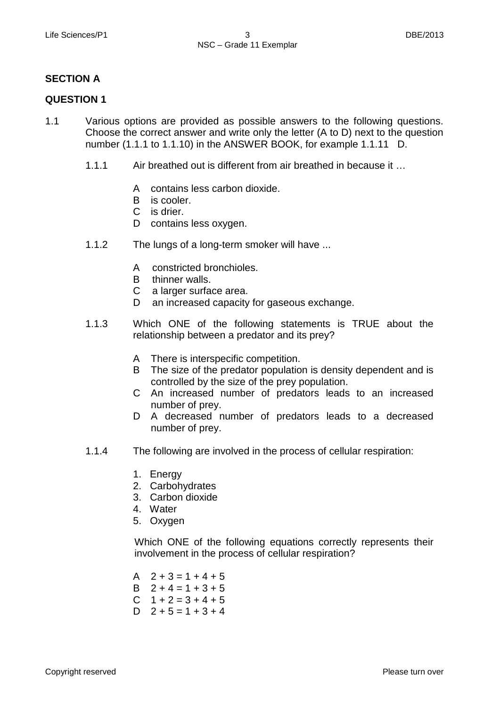# **SECTION A**

### **QUESTION 1**

- 1.1 Various options are provided as possible answers to the following questions. Choose the correct answer and write only the letter (A to D) next to the question number (1.1.1 to 1.1.10) in the ANSWER BOOK, for example 1.1.11 D.
	- 1.1.1 Air breathed out is different from air breathed in because it …
		- A contains less carbon dioxide.
		- B is cooler.
		- C is drier.
		- D contains less oxygen.
	- 1.1.2 The lungs of a long-term smoker will have ...
		- A constricted bronchioles.
		- B thinner walls.
		- C a larger surface area.
		- D an increased capacity for gaseous exchange.
	- 1.1.3 Which ONE of the following statements is TRUE about the relationship between a predator and its prey?
		- A There is interspecific competition.
		- B The size of the predator population is density dependent and is controlled by the size of the prey population.
		- C An increased number of predators leads to an increased number of prey.
		- D A decreased number of predators leads to a decreased number of prey.
	- 1.1.4 The following are involved in the process of cellular respiration:
		- 1. Energy
		- 2. Carbohydrates
		- 3. Carbon dioxide
		- 4. Water
		- 5. Oxygen

Which ONE of the following equations correctly represents their involvement in the process of cellular respiration?

 $A$   $2 + 3 = 1 + 4 + 5$ B  $2 + 4 = 1 + 3 + 5$ C  $1 + 2 = 3 + 4 + 5$ D  $2 + 5 = 1 + 3 + 4$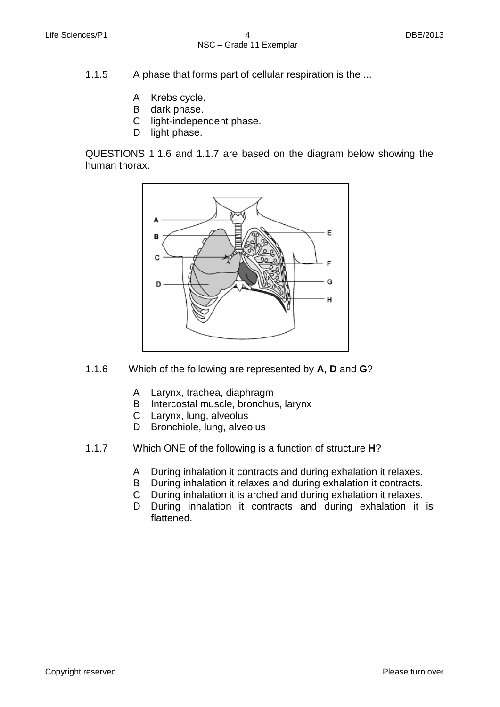1.1.5 A phase that forms part of cellular respiration is the ...

- A Krebs cycle.
- B dark phase.
- C light-independent phase.
- D light phase.

QUESTIONS 1.1.6 and 1.1.7 are based on the diagram below showing the human thorax.



- 1.1.6 Which of the following are represented by **A**, **D** and **G**?
	- A Larynx, trachea, diaphragm
	- B Intercostal muscle, bronchus, larynx
	- C Larynx, lung, alveolus
	- D Bronchiole, lung, alveolus
- 1.1.7 Which ONE of the following is a function of structure **H**?
	- A During inhalation it contracts and during exhalation it relaxes.
	- B During inhalation it relaxes and during exhalation it contracts.
	- $\mathsf C$ During inhalation it is arched and during exhalation it relaxes.
	- D During inhalation it contracts and during exhalation it is flattened.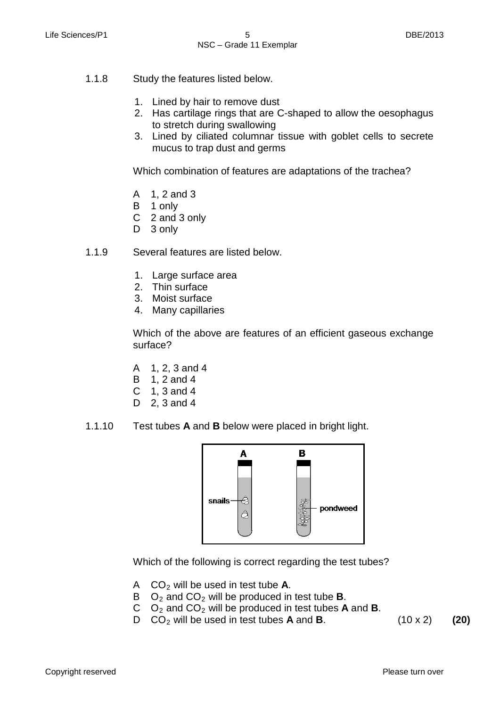- 1.1.8 Study the features listed below.
	- 1. Lined by hair to remove dust
	- 2. Has cartilage rings that are C-shaped to allow the oesophagus to stretch during swallowing
	- 3. Lined by ciliated columnar tissue with goblet cells to secrete mucus to trap dust and germs

Which combination of features are adaptations of the trachea?

- A 1, 2 and 3
- B 1 only
- C 2 and 3 only
- D 3 only
- 1.1.9 Several features are listed below.
	- 1. Large surface area
	- 2. Thin surface
	- 3. Moist surface
	- 4. Many capillaries

Which of the above are features of an efficient gaseous exchange surface?

- A 1, 2, 3 and 4
- B 1, 2 and 4
- C 1, 3 and 4
- D 2, 3 and 4
- 1.1.10 Test tubes **A** and **B** below were placed in bright light.



Which of the following is correct regarding the test tubes?

- A CO2 will be used in test tube **A**.
- B O2 and CO2 will be produced in test tube **B**.
- C O2 and CO2 will be produced in test tubes **A** and **B**.
- D CO2 will be used in test tubes **A** and **B**. (10 x 2) **(20)**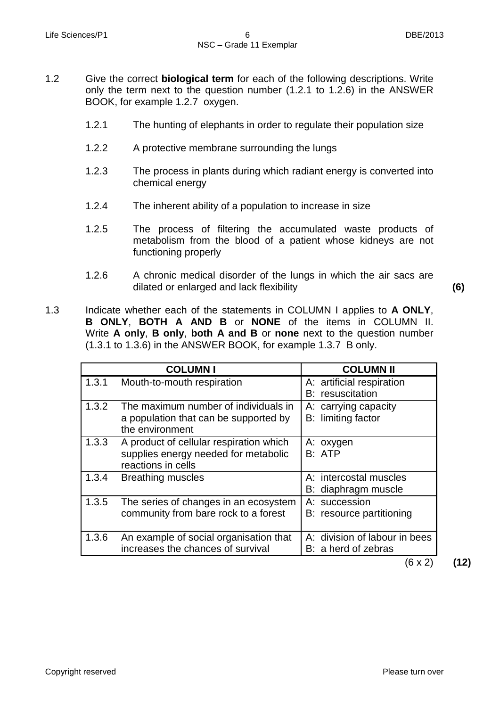- 1.2 Give the correct **biological term** for each of the following descriptions. Write only the term next to the question number (1.2.1 to 1.2.6) in the ANSWER BOOK, for example 1.2.7 oxygen.
	- 1.2.1 The hunting of elephants in order to regulate their population size
	- 1.2.2 A protective membrane surrounding the lungs
	- 1.2.3 The process in plants during which radiant energy is converted into chemical energy
	- 1.2.4 The inherent ability of a population to increase in size
	- 1.2.5 The process of filtering the accumulated waste products of metabolism from the blood of a patient whose kidneys are not functioning properly
	- 1.2.6 A chronic medical disorder of the lungs in which the air sacs are dilated or enlarged and lack flexibility **(6)**

1.3 Indicate whether each of the statements in COLUMN I applies to **A ONLY**, **B ONLY**, **BOTH A AND B** or **NONE** of the items in COLUMN II. Write **A only**, **B only**, **both A and B** or **none** next to the question number (1.3.1 to 1.3.6) in the ANSWER BOOK, for example 1.3.7 B only.

|       | <b>COLUMNI</b>                                                                                        | <b>COLUMN II</b>                                                             |
|-------|-------------------------------------------------------------------------------------------------------|------------------------------------------------------------------------------|
| 1.3.1 | Mouth-to-mouth respiration                                                                            | A: artificial respiration<br>B: resuscitation                                |
| 1.3.2 | The maximum number of individuals in<br>a population that can be supported by<br>the environment      | A: carrying capacity<br>B: limiting factor                                   |
| 1.3.3 | A product of cellular respiration which<br>supplies energy needed for metabolic<br>reactions in cells | A: oxygen<br>B: ATP                                                          |
| 1.3.4 | <b>Breathing muscles</b>                                                                              | A: intercostal muscles<br>B: diaphragm muscle                                |
| 1.3.5 | The series of changes in an ecosystem<br>community from bare rock to a forest                         | A: succession<br>B: resource partitioning                                    |
| 1.3.6 | An example of social organisation that<br>increases the chances of survival                           | A: division of labour in bees<br>B: a herd of zebras<br>$\sim$ $\sim$ $\sim$ |

(6 x 2) **(12)**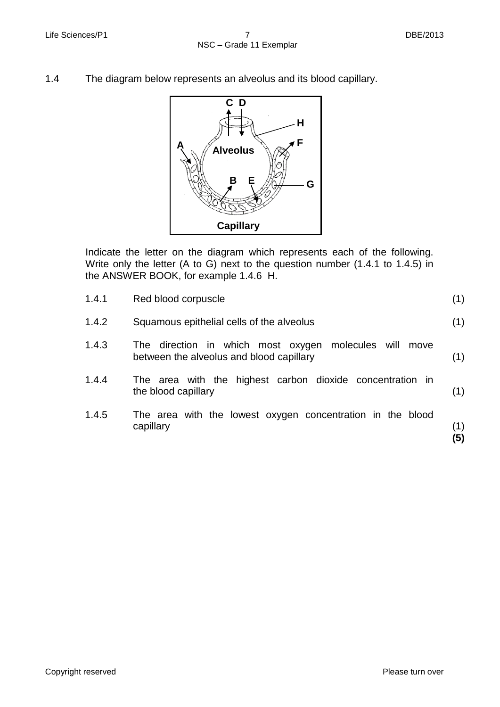1.4 The diagram below represents an alveolus and its blood capillary.



Indicate the letter on the diagram which represents each of the following. Write only the letter (A to G) next to the question number (1.4.1 to 1.4.5) in the ANSWER BOOK, for example 1.4.6 H.

| 1.4.1 | Red blood corpuscle                                                                                   | (1)        |
|-------|-------------------------------------------------------------------------------------------------------|------------|
| 1.4.2 | Squamous epithelial cells of the alveolus                                                             | (1)        |
| 1.4.3 | The direction in which most oxygen molecules will<br>move<br>between the alveolus and blood capillary | (1)        |
| 1.4.4 | The area with the highest carbon dioxide concentration in<br>the blood capillary                      | (1)        |
| 1.4.5 | The area with the lowest oxygen concentration in the blood<br>capillary                               | (1)<br>(5) |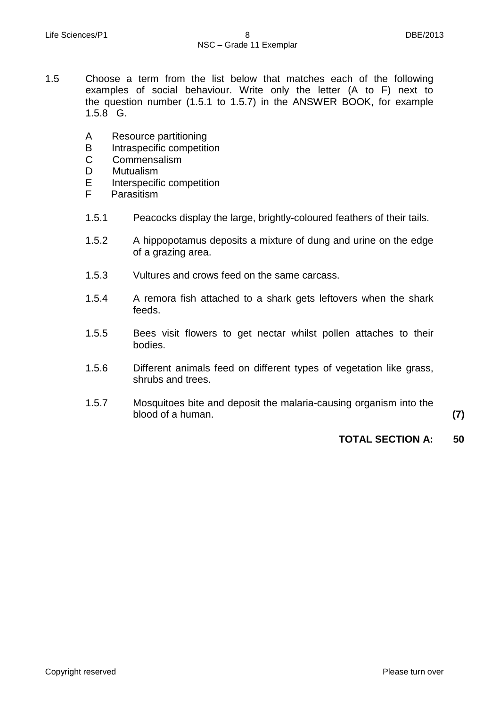- 1.5 Choose a term from the list below that matches each of the following examples of social behaviour. Write only the letter (A to F) next to the question number (1.5.1 to 1.5.7) in the ANSWER BOOK, for example 1.5.8 G.
	- A Resource partitioning
	- B Intraspecific competition<br>C Commensalism
	- **Commensalism**
	- D Mutualism<br>E Interspecifi
	- E Interspecific competition<br>F Parasitism
	- Parasitism
	- 1.5.1 Peacocks display the large, brightly-coloured feathers of their tails.
	- 1.5.2 A hippopotamus deposits a mixture of dung and urine on the edge of a grazing area.
	- 1.5.3 Vultures and crows feed on the same carcass.
	- 1.5.4 A remora fish attached to a shark gets leftovers when the shark feeds.
	- 1.5.5 Bees visit flowers to get nectar whilst pollen attaches to their bodies.
	- 1.5.6 Different animals feed on different types of vegetation like grass, shrubs and trees.
	- 1.5.7 Mosquitoes bite and deposit the malaria-causing organism into the blood of a human. **(7)**

# **TOTAL SECTION A: 50**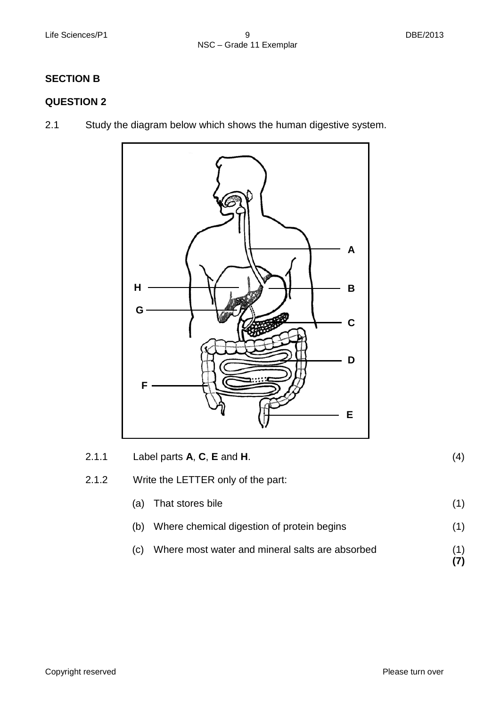# **SECTION B**

# **QUESTION 2**

2.1 Study the diagram below which shows the human digestive system.



| 2.1.1 | Label parts $A, C, E$ and H.       | (4) |
|-------|------------------------------------|-----|
| 2.1.2 | Write the LETTER only of the part: |     |
|       | (a) That stores bile               |     |

- (b) Where chemical digestion of protein begins (1)
- (c) Where most water and mineral salts are absorbed (1) **(7)**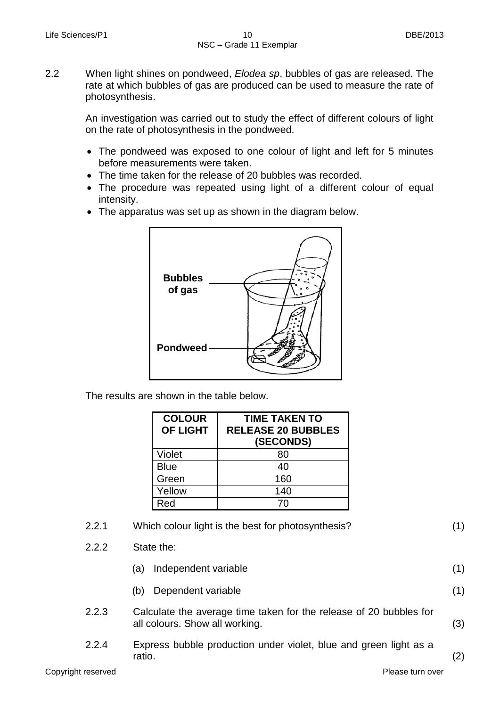2.2 When light shines on pondweed, *Elodea sp*, bubbles of gas are released. The rate at which bubbles of gas are produced can be used to measure the rate of photosynthesis.

> An investigation was carried out to study the effect of different colours of light on the rate of photosynthesis in the pondweed.

- The pondweed was exposed to one colour of light and left for 5 minutes before measurements were taken.
- The time taken for the release of 20 bubbles was recorded.
- The procedure was repeated using light of a different colour of equal intensity.
- The apparatus was set up as shown in the diagram below.



The results are shown in the table below.

| <b>COLOUR</b><br><b>OF LIGHT</b> | <b>TIME TAKEN TO</b><br><b>RELEASE 20 BUBBLES</b><br>(SECONDS) |
|----------------------------------|----------------------------------------------------------------|
| Violet                           | 80                                                             |
| <b>Blue</b>                      | 40                                                             |
| Green                            | 160                                                            |
| Yellow                           | 140                                                            |
| Red                              | 7٨                                                             |

| 2.2.1 | Which colour light is the best for photosynthesis? |  |
|-------|----------------------------------------------------|--|
|       |                                                    |  |

2.2.2 State the:

|  | (a) Independent variable |  |
|--|--------------------------|--|
|--|--------------------------|--|

- (b) Dependent variable
- 2.2.3 Calculate the average time taken for the release of 20 bubbles for all colours. Show all working. (3)
- 2.2.4 Express bubble production under violet, blue and green light as a ratio. (2)

(1)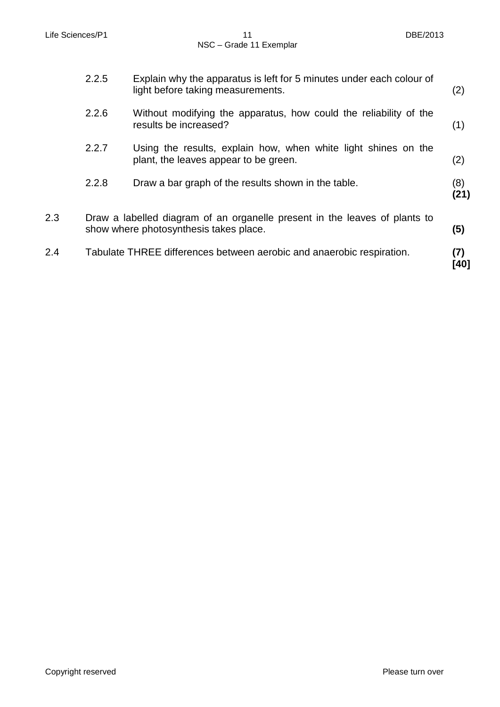|     | 2.2.5 | Explain why the apparatus is left for 5 minutes under each colour of<br>light before taking measurements.            | (2)         |
|-----|-------|----------------------------------------------------------------------------------------------------------------------|-------------|
|     | 2.2.6 | Without modifying the apparatus, how could the reliability of the<br>results be increased?                           | (1)         |
|     | 2.2.7 | Using the results, explain how, when white light shines on the<br>plant, the leaves appear to be green.              | (2)         |
|     | 2.2.8 | Draw a bar graph of the results shown in the table.                                                                  | (8)<br>(21) |
| 2.3 |       | Draw a labelled diagram of an organelle present in the leaves of plants to<br>show where photosynthesis takes place. | (5)         |
| 2.4 |       | Tabulate THREE differences between aerobic and anaerobic respiration.                                                | (7)<br>[40] |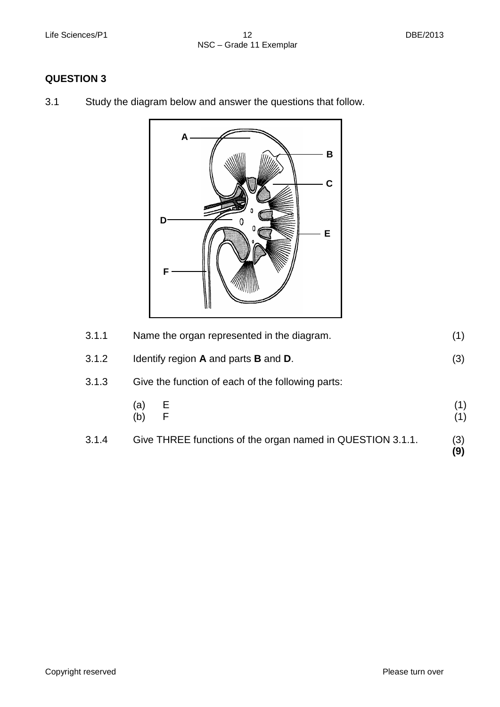# **QUESTION 3**

3.1 Study the diagram below and answer the questions that follow.



| 3.1.4 | Give THREE functions of the organ named in QUESTION 3.1.1. | (3)<br>(9) |
|-------|------------------------------------------------------------|------------|
|       | (a)<br>$rac{E}{F}$<br>(b)                                  |            |
| 3.1.3 | Give the function of each of the following parts:          |            |
| 3.1.2 | Identify region A and parts B and D.                       |            |
| 3.1.1 | Name the organ represented in the diagram.                 |            |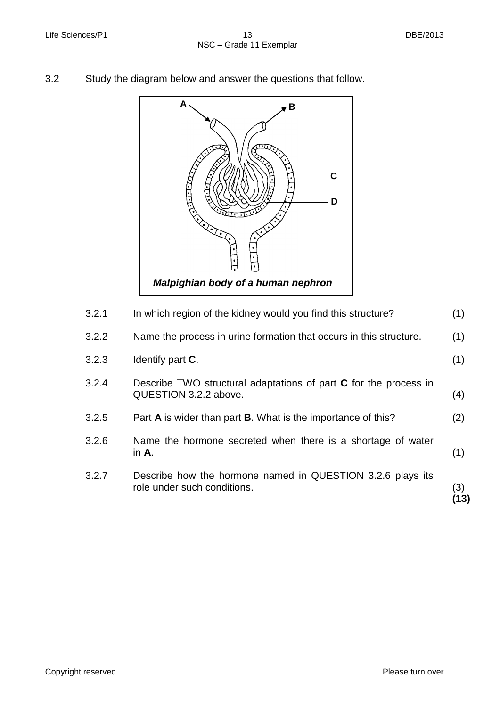3.2 Study the diagram below and answer the questions that follow.



| In which region of the kidney would you find this structure?                              | (1)        |
|-------------------------------------------------------------------------------------------|------------|
| Name the process in urine formation that occurs in this structure.                        | (1)        |
| Identify part <b>C</b> .                                                                  | (1)        |
| Describe TWO structural adaptations of part C for the process in<br>QUESTION 3.2.2 above. | (4)        |
| Part A is wider than part B. What is the importance of this?                              | (2)        |
| Name the hormone secreted when there is a shortage of water<br>in $Ar$ .                  | (1)        |
| Describe how the hormone named in QUESTION 3.2.6 plays its<br>role under such conditions. | (3)<br>13) |
|                                                                                           |            |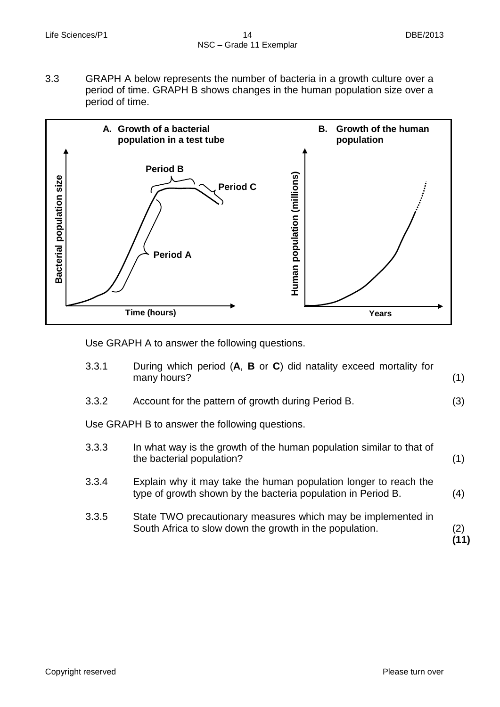3.3 GRAPH A below represents the number of bacteria in a growth culture over a period of time. GRAPH B shows changes in the human population size over a period of time.



Use GRAPH A to answer the following questions.

| 3.3.1                                          | During which period (A, B or C) did natality exceed mortality for<br>many hours?                                                 | (1) |
|------------------------------------------------|----------------------------------------------------------------------------------------------------------------------------------|-----|
| 3.3.2                                          | Account for the pattern of growth during Period B.                                                                               | (3) |
| Use GRAPH B to answer the following questions. |                                                                                                                                  |     |
| 3.3.3                                          | In what way is the growth of the human population similar to that of<br>the bacterial population?                                | (1) |
| 3.3.4                                          | Explain why it may take the human population longer to reach the<br>type of growth shown by the bacteria population in Period B. | (4) |
| 3.3.5                                          | State TWO precautionary measures which may be implemented in<br>South Africa to slow down the growth in the population.          | (2) |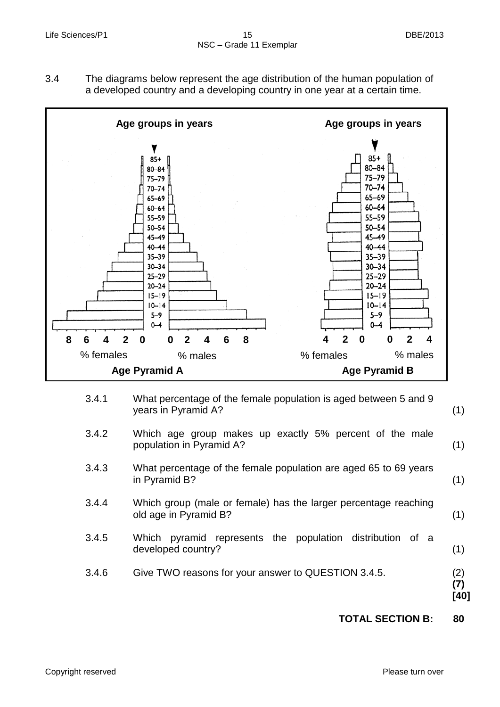3.4 The diagrams below represent the age distribution of the human population of a developed country and a developing country in one year at a certain time.



- 3.4.1 What percentage of the female population is aged between 5 and 9 years in Pyramid A? (1)
- 3.4.2 Which age group makes up exactly 5% percent of the male population in Pyramid A?
- 3.4.3 What percentage of the female population are aged 65 to 69 years in Pyramid B?
- 3.4.4 Which group (male or female) has the larger percentage reaching old age in Pyramid B? (1)
- 3.4.5 Which pyramid represents the population distribution of a developed country? (1)
- 3.4.6 Give TWO reasons for your answer to QUESTION 3.4.5.
- (2) **(7) [40]**

(1)

(1)

**TOTAL SECTION B: 80**